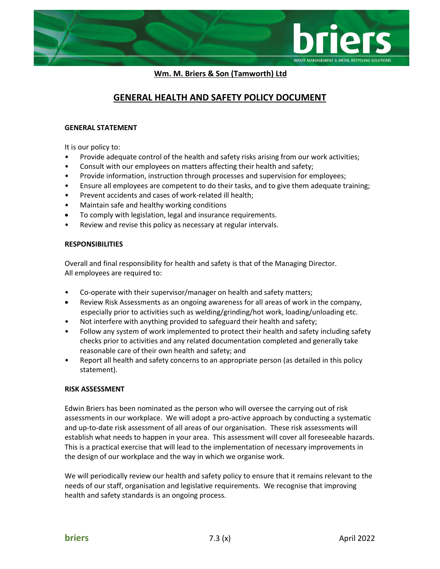

 **Wm. M. Briers & Son (Tamworth) Ltd**

# **GENERAL HEALTH AND SAFETY POLICY DOCUMENT**

# **GENERAL STATEMENT**

It is our policy to:

- Provide adequate control of the health and safety risks arising from our work activities;
- Consult with our employees on matters affecting their health and safety;
- Provide information, instruction through processes and supervision for employees;
- Ensure all employees are competent to do their tasks, and to give them adequate training;
- Prevent accidents and cases of work-related ill health;
- Maintain safe and healthy working conditions
- To comply with legislation, legal and insurance requirements.
- Review and revise this policy as necessary at regular intervals.

### **RESPONSIBILITIES**

Overall and final responsibility for health and safety is that of the Managing Director. All employees are required to:

- Co-operate with their supervisor/manager on health and safety matters;
- Review Risk Assessments as an ongoing awareness for all areas of work in the company, especially prior to activities such as welding/grinding/hot work, loading/unloading etc.
- Not interfere with anything provided to safeguard their health and safety;
- Follow any system of work implemented to protect their health and safety including safety checks prior to activities and any related documentation completed and generally take reasonable care of their own health and safety; and
- Report all health and safety concerns to an appropriate person (as detailed in this policy statement).

# **RISK ASSESSMENT**

Edwin Briers has been nominated as the person who will oversee the carrying out of risk assessments in our workplace. We will adopt a pro-active approach by conducting a systematic and up-to-date risk assessment of all areas of our organisation. These risk assessments will establish what needs to happen in your area. This assessment will cover all foreseeable hazards. This is a practical exercise that will lead to the implementation of necessary improvements in the design of our workplace and the way in which we organise work.

We will periodically review our health and safety policy to ensure that it remains relevant to the needs of our staff, organisation and legislative requirements. We recognise that improving health and safety standards is an ongoing process.